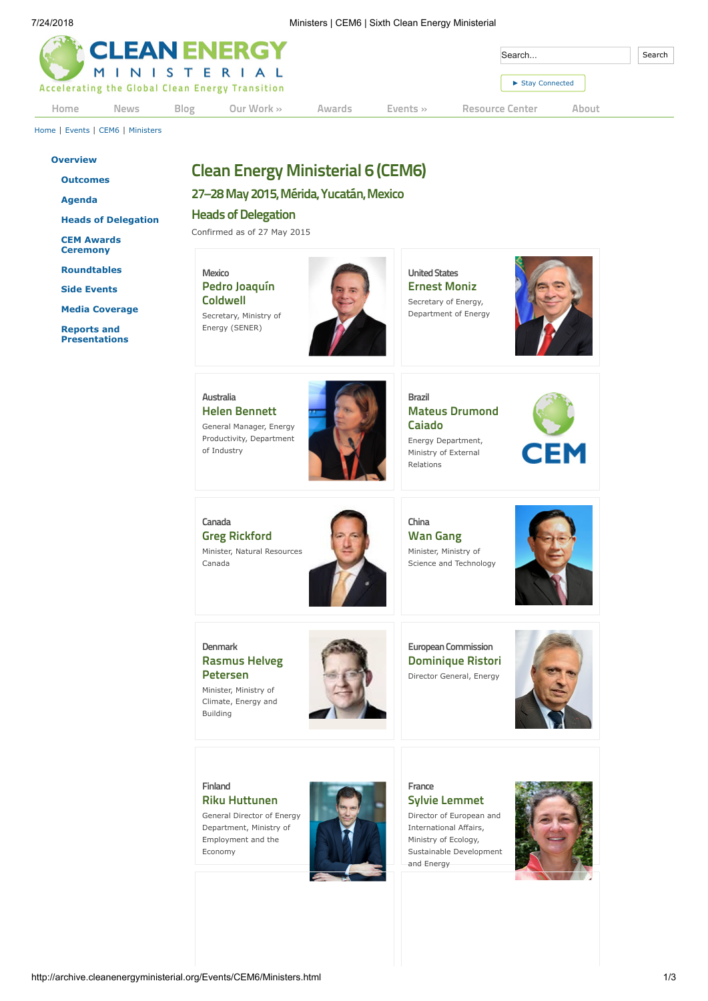| <b>The CLEAN ENERGY</b> |             |      |                                                                |        |              | Search          |       |  |
|-------------------------|-------------|------|----------------------------------------------------------------|--------|--------------|-----------------|-------|--|
|                         |             |      | MINISTERIAL<br>Accelerating the Global Clean Energy Transition |        |              | Stay Connected  |       |  |
| Home                    | <b>News</b> | Blog | Our Work »                                                     | Awards | Events $\gg$ | Resource Center | About |  |

[Home](http://archive.cleanenergyministerial.org/index.html) | [Events](http://archive.cleanenergyministerial.org/Events.html) | [CEM6](http://archive.cleanenergyministerial.org/Events/CEM6.html) | [Ministers](http://archive.cleanenergyministerial.org/Events/CEM6/Ministers.html)

#### **[Overview](http://archive.cleanenergyministerial.org/Events/CEM6.html)**

**[Outcomes](http://archive.cleanenergyministerial.org/Events/CEM6/CEM6Outcomes.html)**

**[Agenda](http://archive.cleanenergyministerial.org/Events/CEM6/Agenda.html)**

**[Heads of Delegation](http://archive.cleanenergyministerial.org/Events/CEM6/Ministers.html)**

**[CEM Awards](http://archive.cleanenergyministerial.org/Events/CEM6/CEMAwards.html) Ceremony**

**[Roundtables](http://archive.cleanenergyministerial.org/Events/CEM6/Roundtable.html)**

**[Side Events](http://archive.cleanenergyministerial.org/Events/CEM6/Side-Events.html)**

**[Media Coverage](http://archive.cleanenergyministerial.org/Events/CEM6/Media.html)**

**Reports and [Presentations](http://archive.cleanenergyministerial.org/Resource-Center/Ministerials/CEM6-Resources.html)**

# **Clean Energy Ministerial 6 (CEM6)**

**27–28May 2015,Mérida,Yucatán,Mexico**

**Heads** of Delegation

Confirmed as of 27 May 2015

# **Mexico Pedro Joaquín Coldwell**

Secretary, Ministry of Energy (SENER)



**United States Ernest Moniz** Secretary of Energy, Department of Energy



**Australia Helen Bennett** General Manager, Energy Productivity, Department of Industry



**Brazil Mateus Drumond Caiado**

Energy Department, Ministry of External Relations



**Canada Greg Rickford** Minister, Natural Resources Canada



**China Wan Gang** Minister, Ministry of Science and Technology



**Denmark Rasmus Helveg Petersen** Minister, Ministry of

Climate, Energy and

Building



**European Commission Dominique Ristori** Director General, Energy



#### **Finland Riku Huttunen**

General Director of Energy Department, Ministry of Employment and the Economy



**France Sylvie Lemmet** Director of European and

International Affairs, Ministry of Ecology, Sustainable Development and Energy

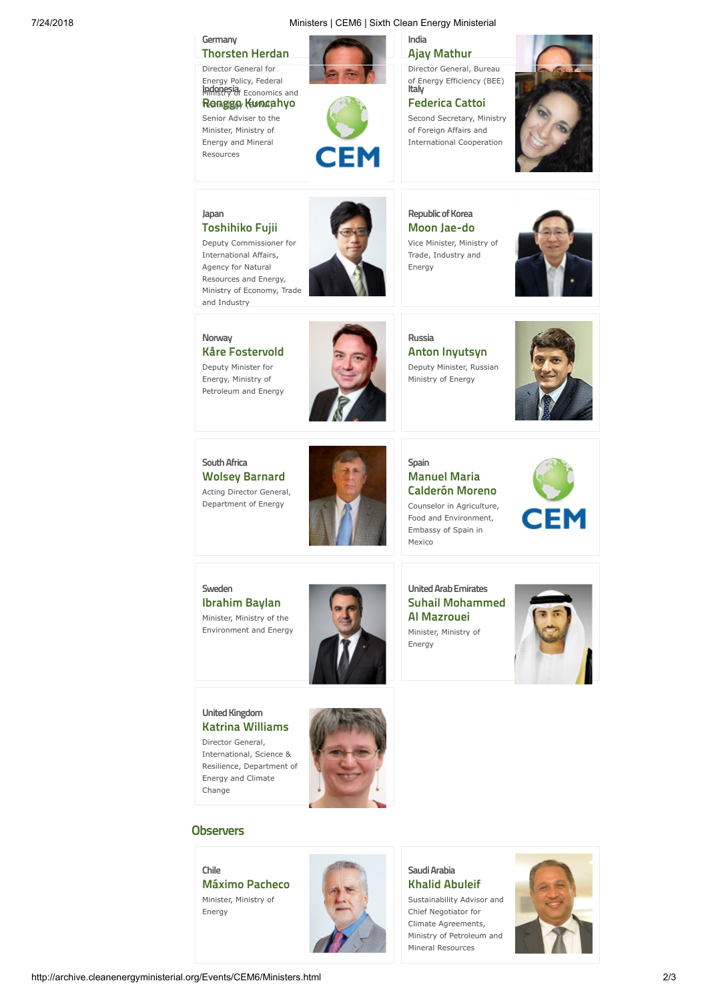### 7/24/2018 Ministers | CEM6 | Sixth Clean Energy Ministerial



Director General, Bureau of Energy Efficiency (BEE) **Italy**

**Federica Cattoi** Second Secretary, Ministry of Foreign Affairs and International Cooperation



#### **Japan Toshihiko Fujii**

**Germany**

**Thorsten Herdan** Director General for Energy Policy, Federal **Indonesia** Economics and Technology (BMWi) **Ronggo Kuncahyo**

Senior Adviser to the Minister, Ministry of Energy and Mineral Resources

Deputy Commissioner for International Affairs, Agency for Natural Resources and Energy, Ministry of Economy, Trade and Industry



### **Republic of Korea Moon Jae-do** Vice Minister, Ministry of





**Norway Kåre Fostervold**

Deputy Minister for Energy, Ministry of Petroleum and Energy



EM

**Russia Anton Inyutsyn** Deputy Minister, Russian Ministry of Energy



**SouthAfrica Wolsey Barnard** Acting Director General, Department of Energy



## **Spain Manuel Maria Calderón Moreno** Counselor in Agriculture,

Food and Environment, Embassy of Spain in Mexico



**Sweden Ibrahim Baylan** Minister, Ministry of the Environment and Energy



**UnitedArabEmirates Suhail Mohammed Al Mazrouei**

Minister, Ministry of Energy



### **United Kingdom Katrina Williams**

Director General, International, Science & Resilience, Department of Energy and Climate Change



# **Observers**

#### **Chile**

**Máximo Pacheco** Minister, Ministry of Energy



#### Saudi Arabia **Khalid Abuleif**

Sustainability Advisor and Chief Negotiator for Climate Agreements, Ministry of Petroleum and Mineral Resources